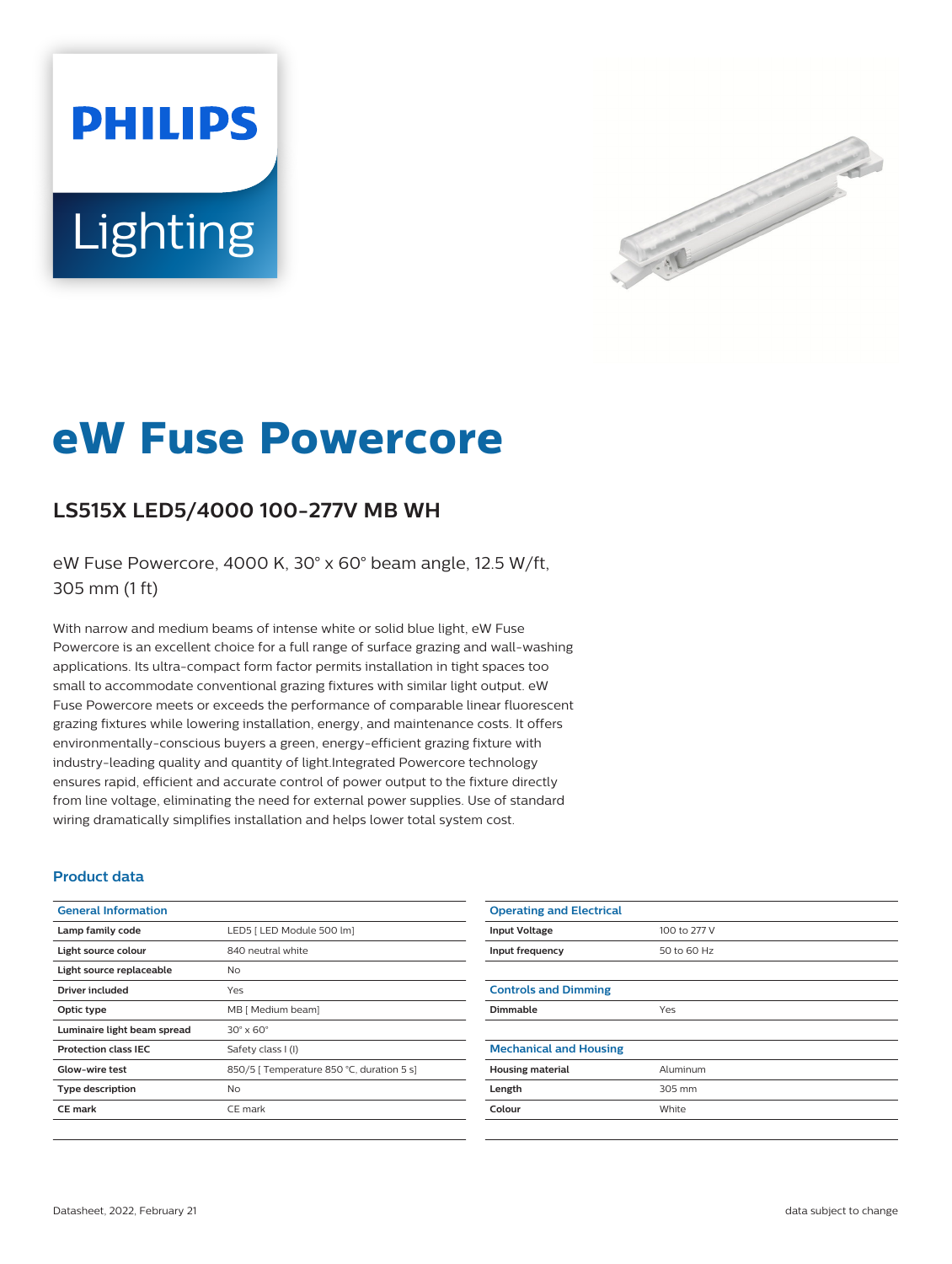# **PHILIPS** Lighting



# **eW Fuse Powercore**

## **LS515X LED5/4000 100-277V MB WH**

eW Fuse Powercore, 4000 K, 30° x 60° beam angle, 12.5 W/ft, 305 mm (1 ft)

With narrow and medium beams of intense white or solid blue light, eW Fuse Powercore is an excellent choice for a full range of surface grazing and wall-washing applications. Its ultra-compact form factor permits installation in tight spaces too small to accommodate conventional grazing fixtures with similar light output. eW Fuse Powercore meets or exceeds the performance of comparable linear fluorescent grazing fixtures while lowering installation, energy, and maintenance costs. It offers environmentally-conscious buyers a green, energy-efficient grazing fixture with industry-leading quality and quantity of light.Integrated Powercore technology ensures rapid, efficient and accurate control of power output to the fixture directly from line voltage, eliminating the need for external power supplies. Use of standard wiring dramatically simplifies installation and helps lower total system cost.

#### **Product data**

| <b>General Information</b>  |                                           |
|-----------------------------|-------------------------------------------|
| Lamp family code            | LED5   LED Module 500 lm]                 |
| Light source colour         | 840 neutral white                         |
| Light source replaceable    | No                                        |
| Driver included             | Yes                                       |
| Optic type                  | MB [ Medium beam]                         |
| Luminaire light beam spread | $30^\circ \times 60^\circ$                |
| <b>Protection class IEC</b> | Safety class I (I)                        |
| Glow-wire test              | 850/5   Temperature 850 °C, duration 5 s] |
| <b>Type description</b>     | No                                        |
| <b>CE</b> mark              | CE mark                                   |
|                             |                                           |

| <b>Operating and Electrical</b> |              |
|---------------------------------|--------------|
| <b>Input Voltage</b>            | 100 to 277 V |
| Input frequency                 | 50 to 60 Hz  |
|                                 |              |
| <b>Controls and Dimming</b>     |              |
| <b>Dimmable</b>                 | Yes          |
|                                 |              |
| <b>Mechanical and Housing</b>   |              |
| <b>Housing material</b>         | Aluminum     |
| Length                          | 305 mm       |
| Colour                          | White        |
|                                 |              |